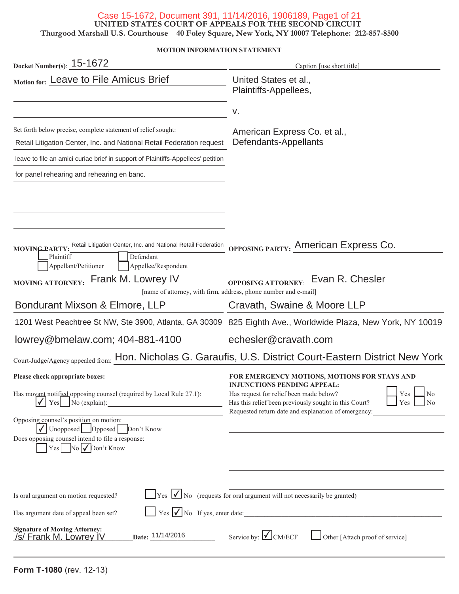#### Case 15-1672, Document 391, 11/14/2016, 1906189, Page1 of 21

**UNITED STATES COURT OF APPEALS FOR THE SECOND CIRCUIT**

**Thurgood Marshall U.S. Courthouse 40 Foley Square, New York, NY 10007 Telephone: 212-857-8500**

#### **MOTION INFORMATION STATEMENT**

| Docket Number(s): 15-1672                                                                                                                                                                                                               | Caption [use short title]                                                                                                                                                                                                                    |
|-----------------------------------------------------------------------------------------------------------------------------------------------------------------------------------------------------------------------------------------|----------------------------------------------------------------------------------------------------------------------------------------------------------------------------------------------------------------------------------------------|
| Motion for: Leave to File Amicus Brief                                                                                                                                                                                                  | United States et al.,<br>Plaintiffs-Appellees,                                                                                                                                                                                               |
|                                                                                                                                                                                                                                         | ν.                                                                                                                                                                                                                                           |
| Set forth below precise, complete statement of relief sought:<br>Retail Litigation Center, Inc. and National Retail Federation request                                                                                                  | American Express Co. et al.,<br>Defendants-Appellants                                                                                                                                                                                        |
| leave to file an amici curiae brief in support of Plaintiffs-Appellees' petition                                                                                                                                                        |                                                                                                                                                                                                                                              |
| for panel rehearing and rehearing en banc.                                                                                                                                                                                              |                                                                                                                                                                                                                                              |
| MOVING PARTY:<br>Defendant<br>Plaintiff<br>Appellant/Petitioner<br>Appellee/Respondent                                                                                                                                                  | Retail Litigation Center, Inc. and National Retail Federation OPPOSING PARTY: AMETICAN EXPTESS CO.                                                                                                                                           |
| MOVING ATTORNEY: Frank M. Lowrey IV                                                                                                                                                                                                     | OPPOSING ATTORNEY: EVan R. Chesler                                                                                                                                                                                                           |
| Bondurant Mixson & Elmore, LLP                                                                                                                                                                                                          | [name of attorney, with firm, address, phone number and e-mail]<br>Cravath, Swaine & Moore LLP                                                                                                                                               |
|                                                                                                                                                                                                                                         | 1201 West Peachtree St NW, Ste 3900, Atlanta, GA 30309 825 Eighth Ave., Worldwide Plaza, New York, NY 10019                                                                                                                                  |
| lowrey@bmelaw.com; 404-881-4100                                                                                                                                                                                                         | echesler@cravath.com                                                                                                                                                                                                                         |
|                                                                                                                                                                                                                                         | Court-Judge/Agency appealed from: Hon. Nicholas G. Garaufis, U.S. District Court-Eastern District New York                                                                                                                                   |
| Please check appropriate boxes:<br>Has movant notified opposing counsel (required by Local Rule 27.1):<br>$\checkmark$ Yes No (explain):                                                                                                | FOR EMERGENCY MOTIONS, MOTIONS FOR STAYS AND<br><b>INJUNCTIONS PENDING APPEAL:</b><br>Yes  <br>N <sub>o</sub><br>Has request for relief been made below?<br>Has this relief been previously sought in this Court?<br>Yes  <br>N <sub>0</sub> |
| Opposing counsel's position on motion:<br>$\sqrt{\bigcup_{\text{Unopposed}}\bigcup_{\text{opposed}}\bigcap_{\text{Don't Know}}$<br>Does opposing counsel intend to file a response:<br>$\vert$ Yes $\vert$ No $\sqrt{\vert}$ Don't Know | Requested return date and explanation of emergency:                                                                                                                                                                                          |
| Is oral argument on motion requested?                                                                                                                                                                                                   | $\gamma$ $\gamma$ $\gamma$ $\gamma$ $\gamma$ $\gamma$ $\gamma$ (requests for oral argument will not necessarily be granted)                                                                                                                  |
| Has argument date of appeal been set?<br><b>Signature of Moving Attorney:</b><br>Date: 11/14/2016<br>/s/ Frank M. Lowrey IV                                                                                                             | $Yes \nightharpoonup No$ If yes, enter date:<br>Service by: $\bigcup$ CM/ECF<br>Other [Attach proof of service]                                                                                                                              |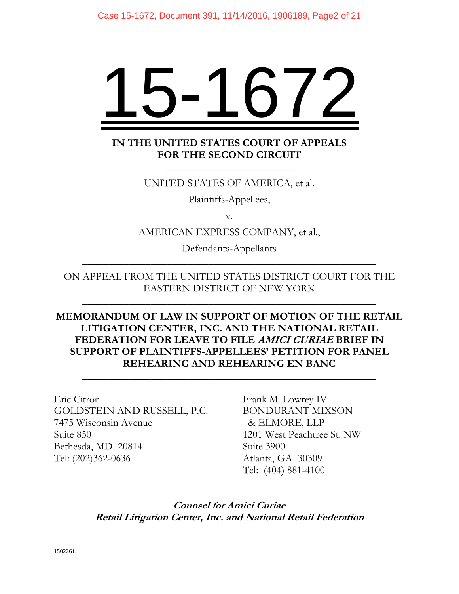# 15-1672

# **IN THE UNITED STATES COURT OF APPEALS FOR THE SECOND CIRCUIT**

\_\_\_\_\_\_\_\_\_\_\_\_\_\_\_\_\_\_\_\_\_\_\_\_\_

## UNITED STATES OF AMERICA, et al.

Plaintiffs-Appellees,

v.

AMERICAN EXPRESS COMPANY, et al.,

Defendants-Appellants \_\_\_\_\_\_\_\_\_\_\_\_\_\_\_\_\_\_\_\_\_\_\_\_\_\_\_\_\_\_\_\_\_\_\_\_\_\_\_\_\_\_\_\_\_\_\_\_\_\_\_\_\_\_\_\_

# ON APPEAL FROM THE UNITED STATES DISTRICT COURT FOR THE EASTERN DISTRICT OF NEW YORK

\_\_\_\_\_\_\_\_\_\_\_\_\_\_\_\_\_\_\_\_\_\_\_\_\_\_\_\_\_\_\_\_\_\_\_\_\_\_\_\_\_\_\_\_\_\_\_\_\_\_\_\_\_\_\_\_

# **MEMORANDUM OF LAW IN SUPPORT OF MOTION OF THE RETAIL LITIGATION CENTER, INC. AND THE NATIONAL RETAIL FEDERATION FOR LEAVE TO FILE AMICI CURIAE BRIEF IN SUPPORT OF PLAINTIFFS-APPELLEES' PETITION FOR PANEL REHEARING AND REHEARING EN BANC**

\_\_\_\_\_\_\_\_\_\_\_\_\_\_\_\_\_\_\_\_\_\_\_\_\_\_\_\_\_\_\_\_\_\_\_\_\_\_\_\_\_\_\_\_\_\_\_\_\_\_\_\_\_\_\_\_

Eric Citron GOLDSTEIN AND RUSSELL, P.C. 7475 Wisconsin Avenue Suite 850 Bethesda, MD 20814 Tel: (202)362-0636

Frank M. Lowrey IV BONDURANT MIXSON & ELMORE, LLP 1201 West Peachtree St. NW Suite 3900 Atlanta, GA 30309 Tel: (404) 881-4100

**Counsel for Amici Curiae Retail Litigation Center, Inc. and National Retail Federation**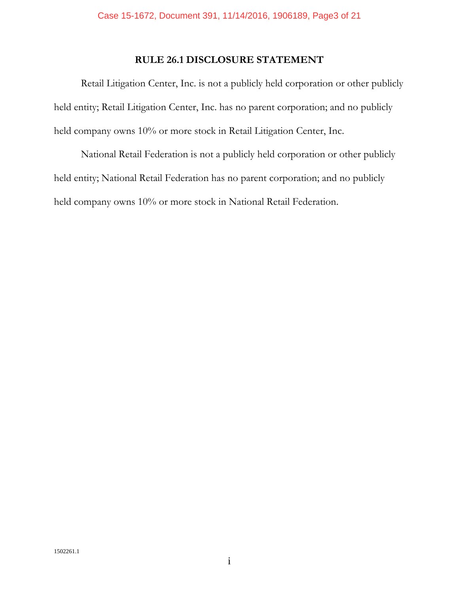# **RULE 26.1 DISCLOSURE STATEMENT**

Retail Litigation Center, Inc. is not a publicly held corporation or other publicly held entity; Retail Litigation Center, Inc. has no parent corporation; and no publicly held company owns 10% or more stock in Retail Litigation Center, Inc.

National Retail Federation is not a publicly held corporation or other publicly held entity; National Retail Federation has no parent corporation; and no publicly held company owns 10% or more stock in National Retail Federation.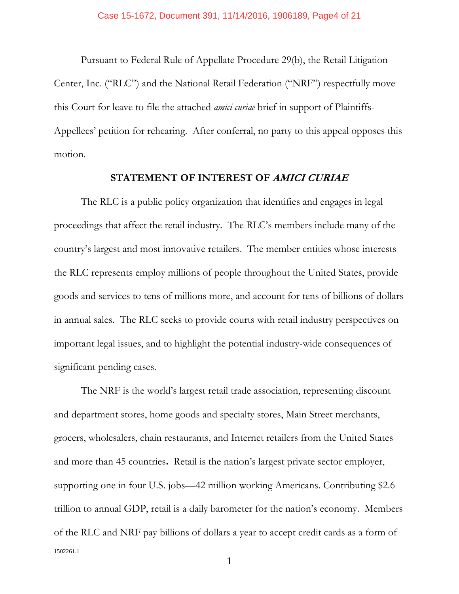Pursuant to Federal Rule of Appellate Procedure 29(b), the Retail Litigation Center, Inc. ("RLC") and the National Retail Federation ("NRF") respectfully move this Court for leave to file the attached *amici curiae* brief in support of Plaintiffs-Appellees' petition for rehearing. After conferral, no party to this appeal opposes this motion.

#### **STATEMENT OF INTEREST OF AMICI CURIAE**

The RLC is a public policy organization that identifies and engages in legal proceedings that affect the retail industry. The RLC's members include many of the country's largest and most innovative retailers. The member entities whose interests the RLC represents employ millions of people throughout the United States, provide goods and services to tens of millions more, and account for tens of billions of dollars in annual sales. The RLC seeks to provide courts with retail industry perspectives on important legal issues, and to highlight the potential industry-wide consequences of significant pending cases.

1502261.1 The NRF is the world's largest retail trade association, representing discount and department stores, home goods and specialty stores, Main Street merchants, grocers, wholesalers, chain restaurants, and Internet retailers from the United States and more than 45 countries**.** Retail is the nation's largest private sector employer, supporting one in four U.S. jobs—42 million working Americans. Contributing \$2.6 trillion to annual GDP, retail is a daily barometer for the nation's economy. Members of the RLC and NRF pay billions of dollars a year to accept credit cards as a form of

1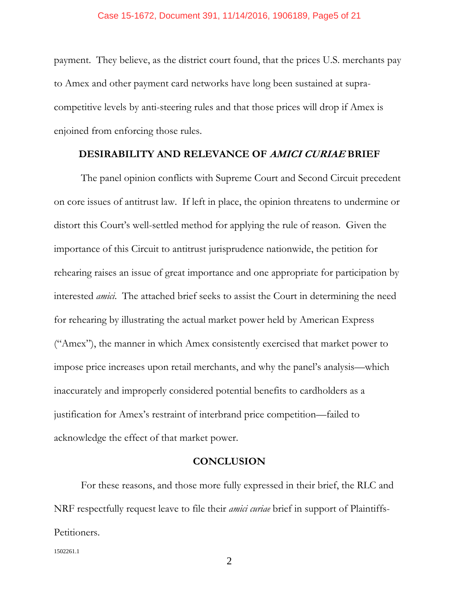payment. They believe, as the district court found, that the prices U.S. merchants pay to Amex and other payment card networks have long been sustained at supracompetitive levels by anti-steering rules and that those prices will drop if Amex is enjoined from enforcing those rules.

#### **DESIRABILITY AND RELEVANCE OF AMICI CURIAE BRIEF**

The panel opinion conflicts with Supreme Court and Second Circuit precedent on core issues of antitrust law. If left in place, the opinion threatens to undermine or distort this Court's well-settled method for applying the rule of reason. Given the importance of this Circuit to antitrust jurisprudence nationwide, the petition for rehearing raises an issue of great importance and one appropriate for participation by interested *amici*. The attached brief seeks to assist the Court in determining the need for rehearing by illustrating the actual market power held by American Express ("Amex"), the manner in which Amex consistently exercised that market power to impose price increases upon retail merchants, and why the panel's analysis—which inaccurately and improperly considered potential benefits to cardholders as a justification for Amex's restraint of interbrand price competition—failed to acknowledge the effect of that market power.

#### **CONCLUSION**

For these reasons, and those more fully expressed in their brief, the RLC and NRF respectfully request leave to file their *amici curiae* brief in support of Plaintiffs-Petitioners.

1502261.1

2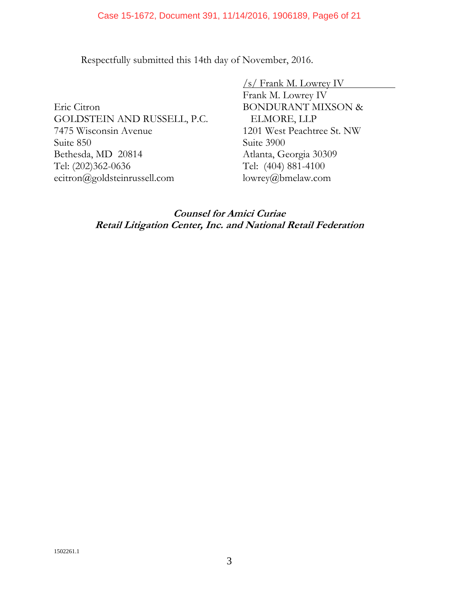Respectfully submitted this 14th day of November, 2016.

Eric Citron GOLDSTEIN AND RUSSELL, P.C. 7475 Wisconsin Avenue Suite 850 Bethesda, MD 20814 Tel: (202)362-0636 ecitron@goldsteinrussell.com

/s/ Frank M. Lowrey IV Frank M. Lowrey IV BONDURANT MIXSON & ELMORE, LLP 1201 West Peachtree St. NW Suite 3900 Atlanta, Georgia 30309 Tel: (404) 881-4100 lowrey@bmelaw.com

**Counsel for Amici Curiae Retail Litigation Center, Inc. and National Retail Federation**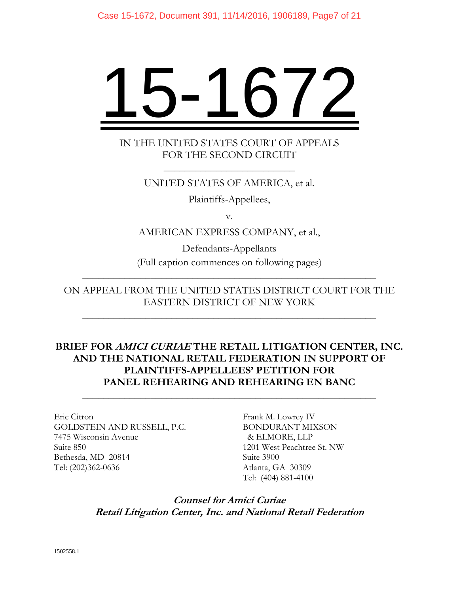# 15-1672

# IN THE UNITED STATES COURT OF APPEALS FOR THE SECOND CIRCUIT

\_\_\_\_\_\_\_\_\_\_\_\_\_\_\_\_\_\_\_\_\_\_\_\_\_

## UNITED STATES OF AMERICA, et al.

Plaintiffs-Appellees,

v.

AMERICAN EXPRESS COMPANY, et al.,

Defendants-Appellants (Full caption commences on following pages)

\_\_\_\_\_\_\_\_\_\_\_\_\_\_\_\_\_\_\_\_\_\_\_\_\_\_\_\_\_\_\_\_\_\_\_\_\_\_\_\_\_\_\_\_\_\_\_\_\_\_\_\_\_\_\_\_

ON APPEAL FROM THE UNITED STATES DISTRICT COURT FOR THE EASTERN DISTRICT OF NEW YORK

\_\_\_\_\_\_\_\_\_\_\_\_\_\_\_\_\_\_\_\_\_\_\_\_\_\_\_\_\_\_\_\_\_\_\_\_\_\_\_\_\_\_\_\_\_\_\_\_\_\_\_\_\_\_\_\_

# **BRIEF FOR AMICI CURIAE THE RETAIL LITIGATION CENTER, INC. AND THE NATIONAL RETAIL FEDERATION IN SUPPORT OF PLAINTIFFS-APPELLEES' PETITION FOR PANEL REHEARING AND REHEARING EN BANC**

\_\_\_\_\_\_\_\_\_\_\_\_\_\_\_\_\_\_\_\_\_\_\_\_\_\_\_\_\_\_\_\_\_\_\_\_\_\_\_\_\_\_\_\_\_\_\_\_\_\_\_\_\_\_\_\_

Eric Citron GOLDSTEIN AND RUSSELL, P.C. 7475 Wisconsin Avenue Suite 850 Bethesda, MD 20814 Tel: (202)362-0636

Frank M. Lowrey IV BONDURANT MIXSON & ELMORE, LLP 1201 West Peachtree St. NW Suite 3900 Atlanta, GA 30309 Tel: (404) 881-4100

# **Counsel for Amici Curiae Retail Litigation Center, Inc. and National Retail Federation**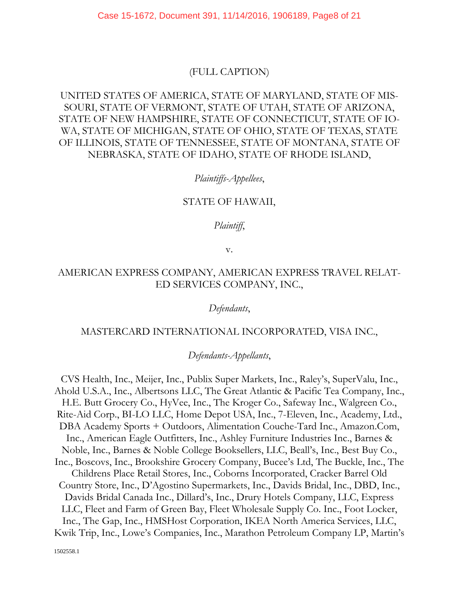Case 15-1672, Document 391, 11/14/2016, 1906189, Page8 of 21

## (FULL CAPTION)

# UNITED STATES OF AMERICA, STATE OF MARYLAND, STATE OF MIS-SOURI, STATE OF VERMONT, STATE OF UTAH, STATE OF ARIZONA, STATE OF NEW HAMPSHIRE, STATE OF CONNECTICUT, STATE OF IO-WA, STATE OF MICHIGAN, STATE OF OHIO, STATE OF TEXAS, STATE OF ILLINOIS, STATE OF TENNESSEE, STATE OF MONTANA, STATE OF NEBRASKA, STATE OF IDAHO, STATE OF RHODE ISLAND,

#### *Plaintiffs-Appellees*,

#### STATE OF HAWAII,

*Plaintiff*,

v.

## AMERICAN EXPRESS COMPANY, AMERICAN EXPRESS TRAVEL RELAT-ED SERVICES COMPANY, INC.,

*Defendants*,

#### MASTERCARD INTERNATIONAL INCORPORATED, VISA INC.,

*Defendants-Appellants*,

CVS Health, Inc., Meijer, Inc., Publix Super Markets, Inc., Raley's, SuperValu, Inc., Ahold U.S.A., Inc., Albertsons LLC, The Great Atlantic & Pacific Tea Company, Inc., H.E. Butt Grocery Co., HyVee, Inc., The Kroger Co., Safeway Inc., Walgreen Co., Rite-Aid Corp., BI-LO LLC, Home Depot USA, Inc., 7-Eleven, Inc., Academy, Ltd., DBA Academy Sports + Outdoors, Alimentation Couche-Tard Inc., Amazon.Com, Inc., American Eagle Outfitters, Inc., Ashley Furniture Industries Inc., Barnes & Noble, Inc., Barnes & Noble College Booksellers, LLC, Beall's, Inc., Best Buy Co., Inc., Boscovs, Inc., Brookshire Grocery Company, Bucee's Ltd, The Buckle, Inc., The Childrens Place Retail Stores, Inc., Coborns Incorporated, Cracker Barrel Old Country Store, Inc., D'Agostino Supermarkets, Inc., Davids Bridal, Inc., DBD, Inc., Davids Bridal Canada Inc., Dillard's, Inc., Drury Hotels Company, LLC, Express LLC, Fleet and Farm of Green Bay, Fleet Wholesale Supply Co. Inc., Foot Locker, Inc., The Gap, Inc., HMSHost Corporation, IKEA North America Services, LLC, Kwik Trip, Inc., Lowe's Companies, Inc., Marathon Petroleum Company LP, Martin's

1502558.1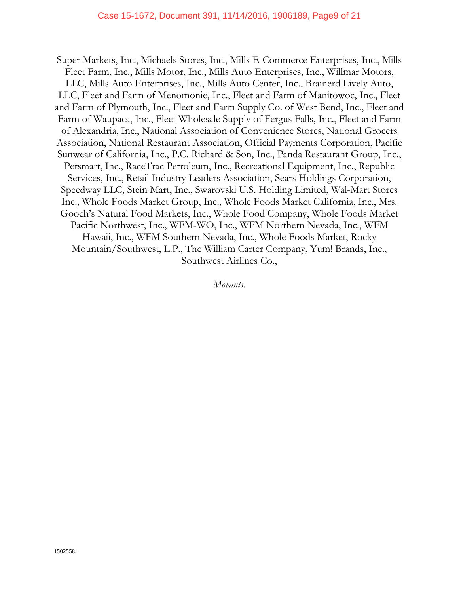Super Markets, Inc., Michaels Stores, Inc., Mills E-Commerce Enterprises, Inc., Mills Fleet Farm, Inc., Mills Motor, Inc., Mills Auto Enterprises, Inc., Willmar Motors, LLC, Mills Auto Enterprises, Inc., Mills Auto Center, Inc., Brainerd Lively Auto, LLC, Fleet and Farm of Menomonie, Inc., Fleet and Farm of Manitowoc, Inc., Fleet and Farm of Plymouth, Inc., Fleet and Farm Supply Co. of West Bend, Inc., Fleet and Farm of Waupaca, Inc., Fleet Wholesale Supply of Fergus Falls, Inc., Fleet and Farm of Alexandria, Inc., National Association of Convenience Stores, National Grocers Association, National Restaurant Association, Official Payments Corporation, Pacific Sunwear of California, Inc., P.C. Richard & Son, Inc., Panda Restaurant Group, Inc., Petsmart, Inc., RaceTrac Petroleum, Inc., Recreational Equipment, Inc., Republic Services, Inc., Retail Industry Leaders Association, Sears Holdings Corporation, Speedway LLC, Stein Mart, Inc., Swarovski U.S. Holding Limited, Wal-Mart Stores Inc., Whole Foods Market Group, Inc., Whole Foods Market California, Inc., Mrs. Gooch's Natural Food Markets, Inc., Whole Food Company, Whole Foods Market Pacific Northwest, Inc., WFM-WO, Inc., WFM Northern Nevada, Inc., WFM Hawaii, Inc., WFM Southern Nevada, Inc., Whole Foods Market, Rocky Mountain/Southwest, L.P., The William Carter Company, Yum! Brands, Inc., Southwest Airlines Co.,

*Movants.*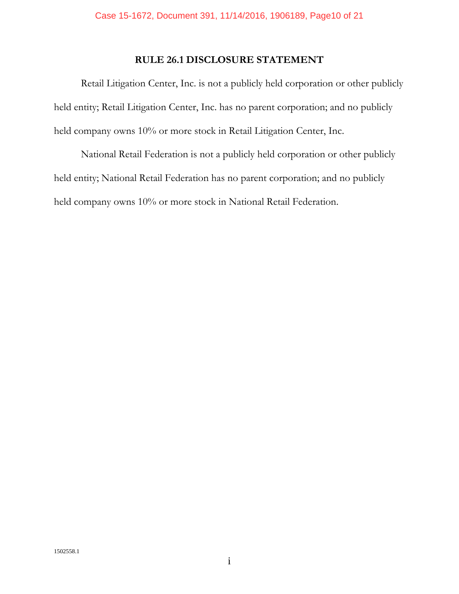# **RULE 26.1 DISCLOSURE STATEMENT**

Retail Litigation Center, Inc. is not a publicly held corporation or other publicly held entity; Retail Litigation Center, Inc. has no parent corporation; and no publicly held company owns 10% or more stock in Retail Litigation Center, Inc.

National Retail Federation is not a publicly held corporation or other publicly held entity; National Retail Federation has no parent corporation; and no publicly held company owns 10% or more stock in National Retail Federation.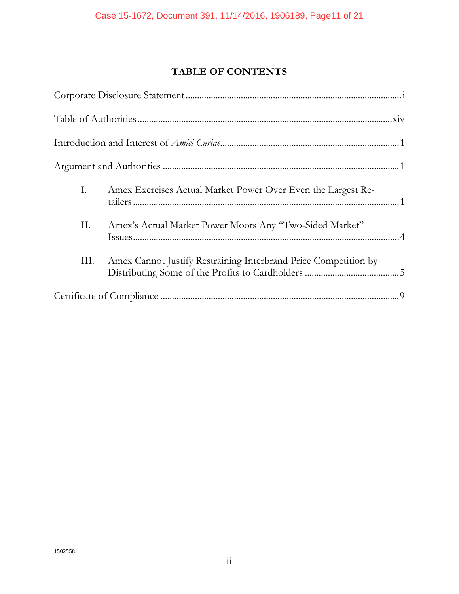# **TABLE OF CONTENTS**

| Ι. | Amex Exercises Actual Market Power Over Even the Largest Re-    |
|----|-----------------------------------------------------------------|
| П. | Amex's Actual Market Power Moots Any "Two-Sided Market"         |
| Ш. | Amex Cannot Justify Restraining Interbrand Price Competition by |
|    |                                                                 |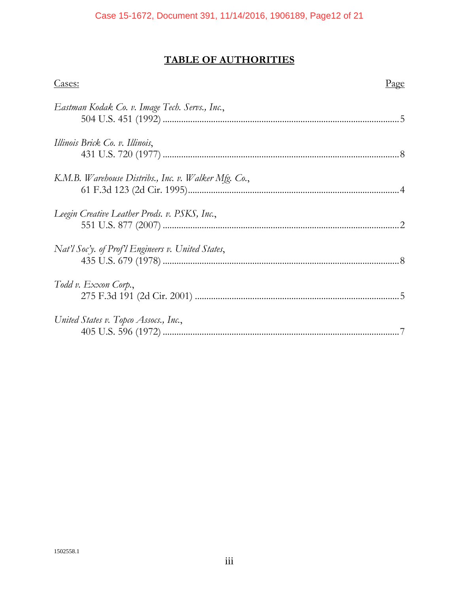# **TABLE OF AUTHORITIES**

| Cases:                                               | <u>Page</u> |
|------------------------------------------------------|-------------|
| Eastman Kodak Co. v. Image Tech. Servs., Inc.,       |             |
| Illinois Brick Co. v. Illinois,                      |             |
| K.M.B. Warehouse Distribs., Inc. v. Walker Mfg. Co., |             |
| Leegin Creative Leather Prods. v. PSKS, Inc.,        |             |
| Nat'l Soc'y. of Prof'l Engineers v. United States,   |             |
| Todd v. Exxon Corp.,                                 |             |
| United States v. Topco Assocs., Inc.,                |             |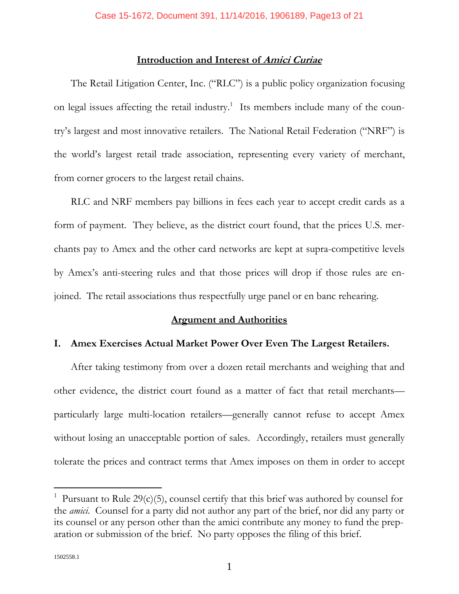### **Introduction and Interest of Amici Curiae**

The Retail Litigation Center, Inc. ("RLC") is a public policy organization focusing on legal issues affecting the retail industry.<sup>1</sup> Its members include many of the country's largest and most innovative retailers. The National Retail Federation ("NRF") is the world's largest retail trade association, representing every variety of merchant, from corner grocers to the largest retail chains.

RLC and NRF members pay billions in fees each year to accept credit cards as a form of payment. They believe, as the district court found, that the prices U.S. merchants pay to Amex and the other card networks are kept at supra-competitive levels by Amex's anti-steering rules and that those prices will drop if those rules are enjoined. The retail associations thus respectfully urge panel or en banc rehearing.

#### **Argument and Authorities**

#### **I. Amex Exercises Actual Market Power Over Even The Largest Retailers.**

After taking testimony from over a dozen retail merchants and weighing that and other evidence, the district court found as a matter of fact that retail merchants particularly large multi-location retailers—generally cannot refuse to accept Amex without losing an unacceptable portion of sales. Accordingly, retailers must generally tolerate the prices and contract terms that Amex imposes on them in order to accept

<sup>&</sup>lt;sup>1</sup> Pursuant to Rule 29(c)(5), counsel certify that this brief was authored by counsel for the *amici*. Counsel for a party did not author any part of the brief, nor did any party or its counsel or any person other than the amici contribute any money to fund the preparation or submission of the brief. No party opposes the filing of this brief.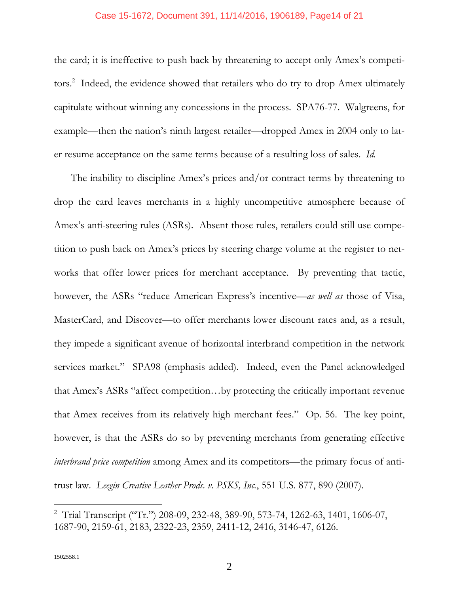#### Case 15-1672, Document 391, 11/14/2016, 1906189, Page14 of 21

the card; it is ineffective to push back by threatening to accept only Amex's competitors.<sup>2</sup> Indeed, the evidence showed that retailers who do try to drop Amex ultimately capitulate without winning any concessions in the process. SPA76-77. Walgreens, for example—then the nation's ninth largest retailer—dropped Amex in 2004 only to later resume acceptance on the same terms because of a resulting loss of sales. *Id.*

The inability to discipline Amex's prices and/or contract terms by threatening to drop the card leaves merchants in a highly uncompetitive atmosphere because of Amex's anti-steering rules (ASRs). Absent those rules, retailers could still use competition to push back on Amex's prices by steering charge volume at the register to networks that offer lower prices for merchant acceptance. By preventing that tactic, however, the ASRs "reduce American Express's incentive—*as well as* those of Visa, MasterCard, and Discover—to offer merchants lower discount rates and, as a result, they impede a significant avenue of horizontal interbrand competition in the network services market." SPA98 (emphasis added). Indeed, even the Panel acknowledged that Amex's ASRs "affect competition…by protecting the critically important revenue that Amex receives from its relatively high merchant fees." Op. 56. The key point, however, is that the ASRs do so by preventing merchants from generating effective *interbrand price competition* among Amex and its competitors—the primary focus of antitrust law. *Leegin Creative Leather Prods. v. PSKS, Inc.*, 551 U.S. 877, 890 (2007).

<sup>&</sup>lt;sup>2</sup> Trial Transcript ("Tr.") 208-09, 232-48, 389-90, 573-74, 1262-63, 1401, 1606-07, 1687-90, 2159-61, 2183, 2322-23, 2359, 2411-12, 2416, 3146-47, 6126.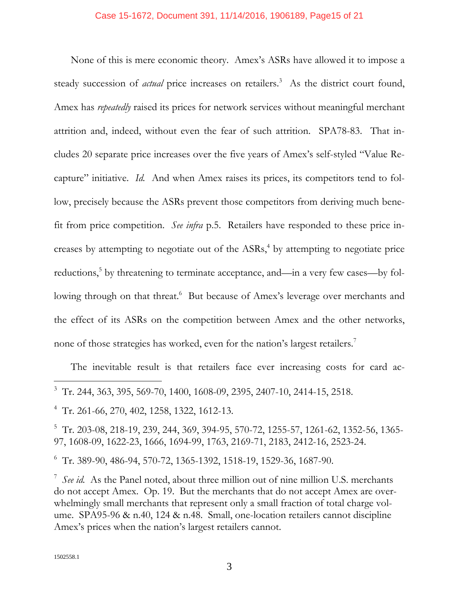#### Case 15-1672, Document 391, 11/14/2016, 1906189, Page15 of 21

None of this is mere economic theory. Amex's ASRs have allowed it to impose a steady succession of *actual* price increases on retailers.<sup>3</sup> As the district court found, Amex has *repeatedly* raised its prices for network services without meaningful merchant attrition and, indeed, without even the fear of such attrition. SPA78-83. That includes 20 separate price increases over the five years of Amex's self-styled "Value Recapture" initiative. *Id.* And when Amex raises its prices, its competitors tend to follow, precisely because the ASRs prevent those competitors from deriving much benefit from price competition. *See infra* p.5. Retailers have responded to these price increases by attempting to negotiate out of the  $ASRs<sub>1</sub><sup>4</sup>$  by attempting to negotiate price reductions,<sup>5</sup> by threatening to terminate acceptance, and—in a very few cases—by following through on that threat.<sup>6</sup> But because of Amex's leverage over merchants and the effect of its ASRs on the competition between Amex and the other networks, none of those strategies has worked, even for the nation's largest retailers.<sup>7</sup>

The inevitable result is that retailers face ever increasing costs for card ac-

5 Tr. 203-08, 218-19, 239, 244, 369, 394-95, 570-72, 1255-57, 1261-62, 1352-56, 1365- 97, 1608-09, 1622-23, 1666, 1694-99, 1763, 2169-71, 2183, 2412-16, 2523-24.

6 Tr. 389-90, 486-94, 570-72, 1365-1392, 1518-19, 1529-36, 1687-90.

<sup>7</sup> See id. As the Panel noted, about three million out of nine million U.S. merchants do not accept Amex. Op. 19. But the merchants that do not accept Amex are overwhelmingly small merchants that represent only a small fraction of total charge volume. SPA95-96 & n.40, 124 & n.48. Small, one-location retailers cannot discipline Amex's prices when the nation's largest retailers cannot.

 $3$  Tr. 244, 363, 395, 569-70, 1400, 1608-09, 2395, 2407-10, 2414-15, 2518.

<sup>4</sup> Tr. 261-66, 270, 402, 1258, 1322, 1612-13.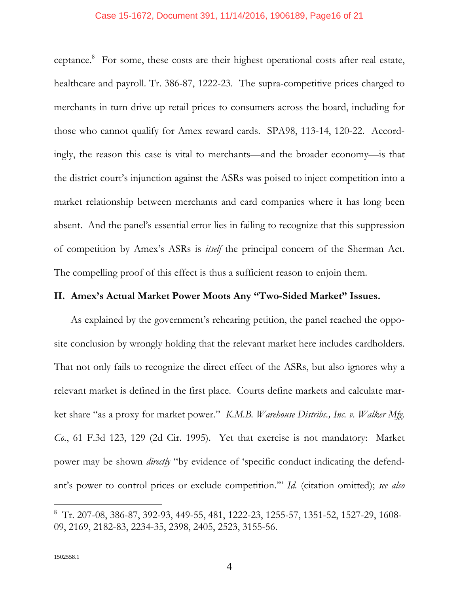#### Case 15-1672, Document 391, 11/14/2016, 1906189, Page16 of 21

ceptance.<sup>8</sup> For some, these costs are their highest operational costs after real estate, healthcare and payroll. Tr. 386-87, 1222-23. The supra-competitive prices charged to merchants in turn drive up retail prices to consumers across the board, including for those who cannot qualify for Amex reward cards. SPA98, 113-14, 120-22. Accordingly, the reason this case is vital to merchants—and the broader economy—is that the district court's injunction against the ASRs was poised to inject competition into a market relationship between merchants and card companies where it has long been absent. And the panel's essential error lies in failing to recognize that this suppression of competition by Amex's ASRs is *itself* the principal concern of the Sherman Act. The compelling proof of this effect is thus a sufficient reason to enjoin them.

#### **II. Amex's Actual Market Power Moots Any "Two-Sided Market" Issues.**

As explained by the government's rehearing petition, the panel reached the opposite conclusion by wrongly holding that the relevant market here includes cardholders. That not only fails to recognize the direct effect of the ASRs, but also ignores why a relevant market is defined in the first place. Courts define markets and calculate market share "as a proxy for market power." *K.M.B. Warehouse Distribs., Inc. v. Walker Mfg. Co.*, 61 F.3d 123, 129 (2d Cir. 1995). Yet that exercise is not mandatory: Market power may be shown *directly* "by evidence of 'specific conduct indicating the defendant's power to control prices or exclude competition.'" *Id.* (citation omitted); *see also*

<sup>8</sup> Tr. 207-08, 386-87, 392-93, 449-55, 481, 1222-23, 1255-57, 1351-52, 1527-29, 1608- 09, 2169, 2182-83, 2234-35, 2398, 2405, 2523, 3155-56.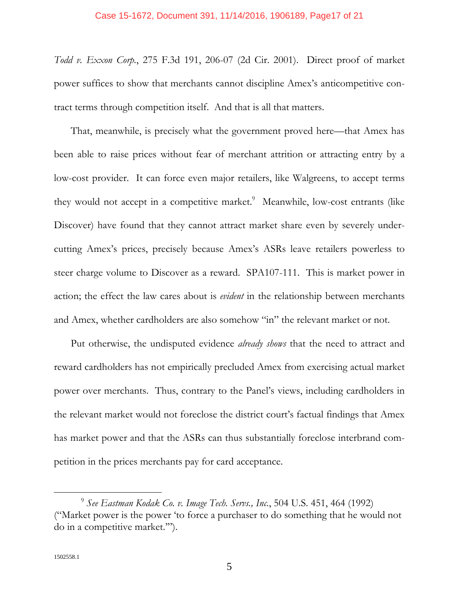#### Case 15-1672, Document 391, 11/14/2016, 1906189, Page17 of 21

*Todd v. Exxon Corp.*, 275 F.3d 191, 206-07 (2d Cir. 2001). Direct proof of market power suffices to show that merchants cannot discipline Amex's anticompetitive contract terms through competition itself. And that is all that matters.

That, meanwhile, is precisely what the government proved here—that Amex has been able to raise prices without fear of merchant attrition or attracting entry by a low-cost provider. It can force even major retailers, like Walgreens, to accept terms they would not accept in a competitive market.<sup>9</sup> Meanwhile, low-cost entrants (like Discover) have found that they cannot attract market share even by severely undercutting Amex's prices, precisely because Amex's ASRs leave retailers powerless to steer charge volume to Discover as a reward. SPA107-111. This is market power in action; the effect the law cares about is *evident* in the relationship between merchants and Amex, whether cardholders are also somehow "in" the relevant market or not.

Put otherwise, the undisputed evidence *already shows* that the need to attract and reward cardholders has not empirically precluded Amex from exercising actual market power over merchants. Thus, contrary to the Panel's views, including cardholders in the relevant market would not foreclose the district court's factual findings that Amex has market power and that the ASRs can thus substantially foreclose interbrand competition in the prices merchants pay for card acceptance.

l

<sup>9</sup> *See Eastman Kodak Co. v. Image Tech. Servs., Inc.*, 504 U.S. 451, 464 (1992) ("Market power is the power 'to force a purchaser to do something that he would not do in a competitive market.'").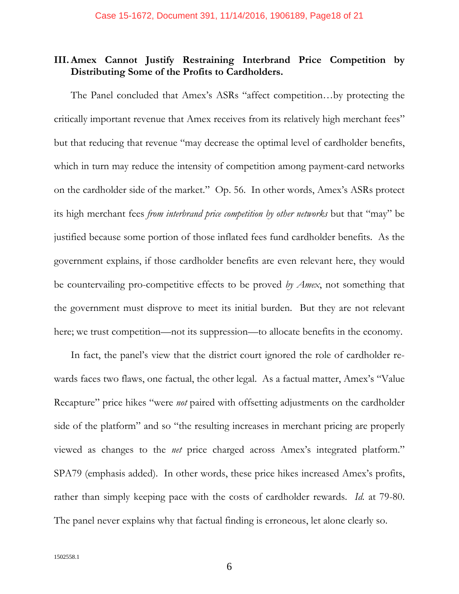# **III. Amex Cannot Justify Restraining Interbrand Price Competition by Distributing Some of the Profits to Cardholders.**

The Panel concluded that Amex's ASRs "affect competition…by protecting the critically important revenue that Amex receives from its relatively high merchant fees" but that reducing that revenue "may decrease the optimal level of cardholder benefits, which in turn may reduce the intensity of competition among payment-card networks on the cardholder side of the market." Op. 56. In other words, Amex's ASRs protect its high merchant fees *from interbrand price competition by other networks* but that "may" be justified because some portion of those inflated fees fund cardholder benefits. As the government explains, if those cardholder benefits are even relevant here, they would be countervailing pro-competitive effects to be proved *by Amex*, not something that the government must disprove to meet its initial burden. But they are not relevant here; we trust competition—not its suppression—to allocate benefits in the economy.

In fact, the panel's view that the district court ignored the role of cardholder rewards faces two flaws, one factual, the other legal. As a factual matter, Amex's "Value Recapture" price hikes "were *not* paired with offsetting adjustments on the cardholder side of the platform" and so "the resulting increases in merchant pricing are properly viewed as changes to the *net* price charged across Amex's integrated platform." SPA79 (emphasis added). In other words, these price hikes increased Amex's profits, rather than simply keeping pace with the costs of cardholder rewards. *Id.* at 79-80. The panel never explains why that factual finding is erroneous, let alone clearly so.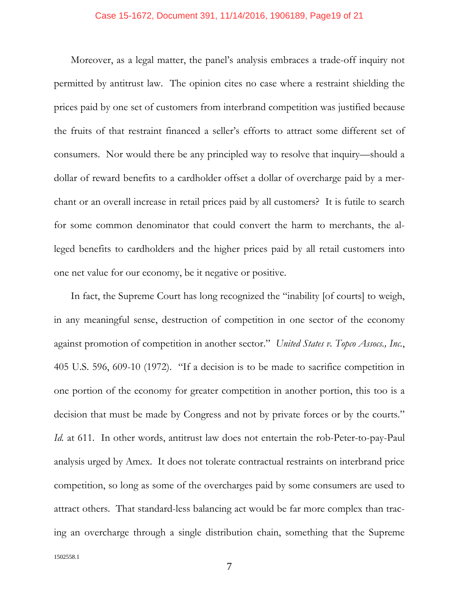#### Case 15-1672, Document 391, 11/14/2016, 1906189, Page19 of 21

Moreover, as a legal matter, the panel's analysis embraces a trade-off inquiry not permitted by antitrust law. The opinion cites no case where a restraint shielding the prices paid by one set of customers from interbrand competition was justified because the fruits of that restraint financed a seller's efforts to attract some different set of consumers. Nor would there be any principled way to resolve that inquiry—should a dollar of reward benefits to a cardholder offset a dollar of overcharge paid by a merchant or an overall increase in retail prices paid by all customers? It is futile to search for some common denominator that could convert the harm to merchants, the alleged benefits to cardholders and the higher prices paid by all retail customers into one net value for our economy, be it negative or positive.

In fact, the Supreme Court has long recognized the "inability [of courts] to weigh, in any meaningful sense, destruction of competition in one sector of the economy against promotion of competition in another sector." *United States v. Topco Assocs., Inc.*, 405 U.S. 596, 609-10 (1972). "If a decision is to be made to sacrifice competition in one portion of the economy for greater competition in another portion, this too is a decision that must be made by Congress and not by private forces or by the courts." *Id.* at 611. In other words, antitrust law does not entertain the rob-Peter-to-pay-Paul analysis urged by Amex. It does not tolerate contractual restraints on interbrand price competition, so long as some of the overcharges paid by some consumers are used to attract others. That standard-less balancing act would be far more complex than tracing an overcharge through a single distribution chain, something that the Supreme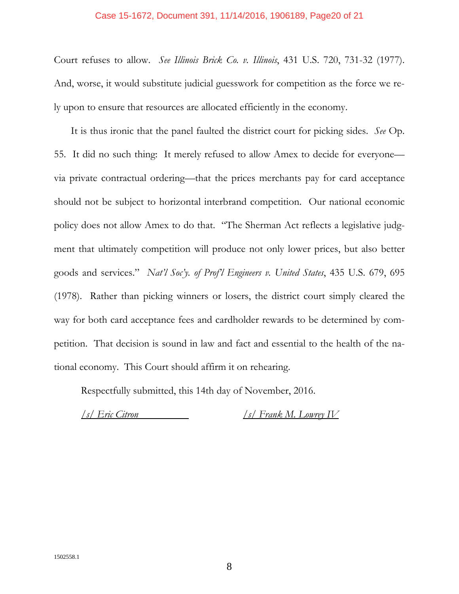#### Case 15-1672, Document 391, 11/14/2016, 1906189, Page20 of 21

Court refuses to allow. *See Illinois Brick Co. v. Illinois*, 431 U.S. 720, 731-32 (1977). And, worse, it would substitute judicial guesswork for competition as the force we rely upon to ensure that resources are allocated efficiently in the economy.

It is thus ironic that the panel faulted the district court for picking sides. *See* Op. 55. It did no such thing: It merely refused to allow Amex to decide for everyone via private contractual ordering—that the prices merchants pay for card acceptance should not be subject to horizontal interbrand competition. Our national economic policy does not allow Amex to do that. "The Sherman Act reflects a legislative judgment that ultimately competition will produce not only lower prices, but also better goods and services." *Nat'l Soc'y. of Prof'l Engineers v. United States*, 435 U.S. 679, 695 (1978). Rather than picking winners or losers, the district court simply cleared the way for both card acceptance fees and cardholder rewards to be determined by competition. That decision is sound in law and fact and essential to the health of the national economy. This Court should affirm it on rehearing.

Respectfully submitted, this 14th day of November, 2016.

*/s/ Eric Citron /s/ Frank M. Lowrey IV*